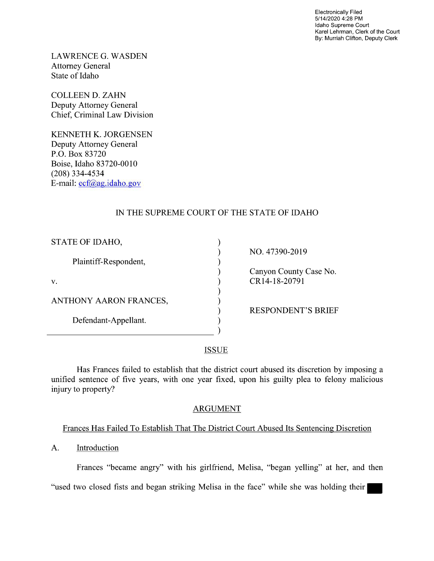Electronically Filed 5/1 4/2020 4:28 PM Idaho Supreme Court Karel Lehrman, Clerk of the Court By: Murriah Clifton, Deputy Clerk

LAWRENCE G. WASDEN Attorney General State of Idaho

COLLEEN D. ZAHN Deputy Attorney General Chief, Criminal Law Division

KENNETH K. JORGENSEN Deputy Attorney General P.O. Box 83720 Boise, Idaho 83720-0010 (208) 334—4534 E—mail: ecf@ag.idah0.g0v

# IN THE SUPREME COURT OF THE STATE OF IDAHO

| STATE OF IDAHO,        |                           |
|------------------------|---------------------------|
|                        | NO. 47390-2019            |
| Plaintiff-Respondent,  |                           |
|                        | Canyon County Case No.    |
| V.                     | CR14-18-20791             |
|                        |                           |
| ANTHONY AARON FRANCES, |                           |
|                        | <b>RESPONDENT'S BRIEF</b> |
| Defendant-Appellant.   |                           |
|                        |                           |
|                        |                           |

**ISSUE** 

Has Frances failed to establish that the district court abused its discretion by imposing a unified sentence of five years, with one year fixed, upon his guilty plea to felony malicious injury to property?

## ARGUMENT

# Frances Has Failed To Establish That The District Court Abused Its Sentencing Discretion

A. Introduction

 $\overline{a}$ 

Frances "became angry" with his girlfriend, Melisa, "began yelling" at her, and then

"used two closed fists and began striking Melisa in the face" while she was holding their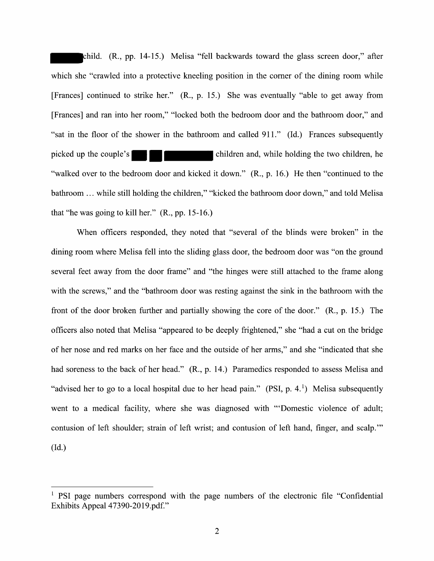child. (R., pp. 14-15.) Melisa "fell backwards toward the glass screen door," after which she "crawled into a protective kneeling position in the corner of the dining room while [Frances] continued t0 strike her." (R., p. 15.) She was eventually "able to get away from [Frances] and ran into her room," "locked both the bedroom door and the bathroom door," and "sat in the floor 0f the shower in the bathroom and called 911." (Id.) Frances subsequently picked up the couple's children and, while holding the two children, he "walked over to the bedroom door and kicked it down." (R., p. 16.) He then "continued to the bathroom ... while still holding the children," "kicked the bathroom door down," and told Melisa that "he was going to kill her."  $(R., pp. 15-16.)$ 

When officers responded, they noted that "several of the blinds were broken" in the dining room where Melisa fell into the sliding glass door, the bedroom door was "0n the ground several feet away from the door frame" and "the hinges were still attached to the frame along with the screws," and the "bathroom door was resting against the sink in the bathroom with the front of the door broken fithher and partially showing the core 0f the door." (R., p. 15.) The officers also noted that Melisa "appeared t0 be deeply frightened," she "had cut 0n the bridge 0f her nose and red marks 0n her face and the outside 0f her arms," and she "indicated that she had soreness to the back of her head." (R., p. 14.) Paramedics responded to assess Melisa and "advised her to go to a local hospital due to her head pain." (PSI, p. 4.<sup>1</sup>) Melisa subsequently went to a medical facility, where she was diagnosed with "'Domestic violence of adult; contusion of left shoulder; strain of left wrist; and contusion of left hand, finger, and scalp."  $(Id.)$ 

<sup>&</sup>lt;sup>1</sup> PSI page numbers correspond with the page numbers of the electronic file "Confidential" Exhibits Appeal 47390-2019.pdf."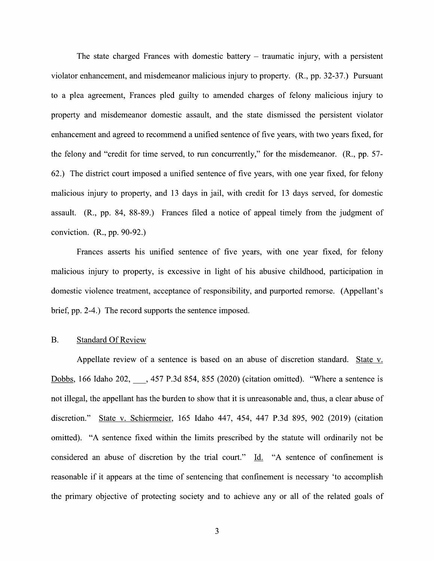The state charged Frances with domestic battery  $-$  traumatic injury, with a persistent violator enhancement, and misdemeanor malicious injury to property. (R., pp. 32-37.) Pursuant to a plea agreement, Frances pled guilty to amended charges of felony malicious injury to property and misdemeanor domestic assault, and the state dismissed the persistent Violator enhancement and agreed to recommend a unified sentence of five years, with two years fixed, for the felony and "credit for time served, t0 run concurrently," for the misdemeanor. (R., pp. 57- 62.) The district court imposed a unified sentence of five years, with one year fixed, for felony malicious injury to property, and 13 days in jail, with credit for 13 days served, for domestic assault.  $(R_{1}, pp. 84, 88-89)$  Frances filed a notice of appeal timely from the judgment of conviction. (R., pp. 90-92.)

Frances asserts his unified sentence 0f five years, with one year fixed, for felony malicious injury to property, is excessive in light of his abusive childhood, participation in domestic violence treatment, acceptance of responsibility, and purported remorse. (Appellant's brief, pp. 2-4.) The record supports the sentence imposed.

### B. Standard Of Review

Appellate review of a sentence is based on an abuse of discretion standard. State v. Dobbs, 166 Idaho 202,  $\phantom{0}$ , 457 P.3d 854, 855 (2020) (citation omitted). "Where a sentence is not illegal, the appellant has the burden to show that it is unreasonable and, thus, a clear abuse of discretion." State V. Schiermeier, 165 Idaho 447, 454, 447 P.3d 895, 902 (2019) (citation omitted). "A sentence fixed within the limits prescribed by the statute will ordinarily not be considered an abuse of discretion by the trial court."  $\underline{Id}$ . "A sentence of confinement is reasonable if it appears at the time of sentencing that confinement is necessary 'to accomplish the primary objective of protecting society and to achieve any 0r all 0f the related goals 0f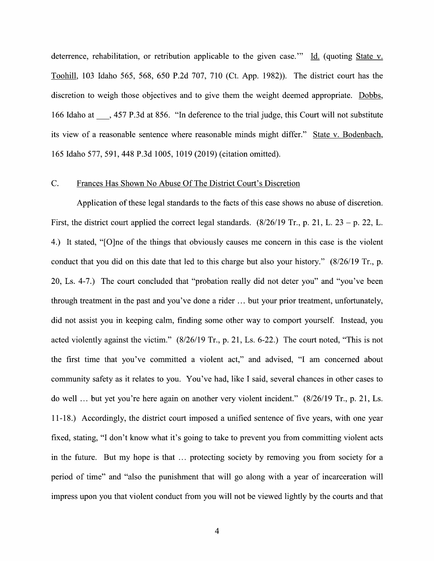deterrence, rehabilitation, or retribution applicable to the given case." Id. (quoting State v. Toohill, 103 Idaho 565, 568, 650 P.2d 707, 710 (Ct. App. 1982)). The district court has the discretion to weigh those objectives and to give them the weight deemed appropriate. Dobbs, <sup>166</sup> Idaho at \_, <sup>457</sup> P.3d at 856. "In deference to the trial judge, this Court will not substitute its view of a reasonable sentence where reasonable minds might differ." State v. Bodenbach, 165 Idaho 577, 591, 448 P.3d 1005, 1019 (2019) (citation omitted).

#### C. Frances Has Shown No Abuse Of The District Court's Discretion

Application of these legal standards to the facts of this case shows no abuse of discretion. First, the district court applied the correct legal standards.  $(8/26/19$  Tr., p. 21, L. 23 – p. 22, L. 4.) It stated, "[O]ne of the things that obviously causes me concern in this case is the violent conduct that you did on this date that led to this charge but also your history." (8/26/19 Tr., p. 20, Ls. 4-7.) The court concluded that "probation really did not deter you" and "you've been through treatment in the past and you've done a rider  $\dots$  but your prior treatment, unfortunately, did not assist you in keeping calm, finding some other way to comport yourself. Instead, you acted violently against the victim." (8/26/19 Tr., p. 21, Ls. 6-22.) The court noted, "This is not the first time that you've committed a violent act," and advised, "I am concerned about community safety as it relates to you. You've had, like I said, several chances in other cases to do well  $\ldots$  but yet you're here again on another very violent incident." (8/26/19 Tr., p. 21, Ls. 11-18.) Accordingly, the district court imposed a unified sentence of five years, with one year fixed, stating, "I don't know what it's going to take to prevent you from committing violent acts in the future. But my hope is that  $\ldots$  protecting society by removing you from society for a period of time" and "also the punishment that will go along with a year of incarceration will impress upon you that violent conduct from you will not be viewed lightly by the courts and that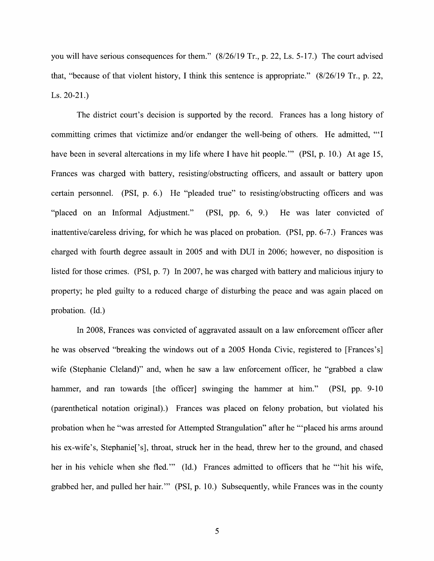you will have serious consequences for them." (8/26/19 Tr., p. 22, Ls. 5-17.) The court advised that, "because of that violent history, I think this sentence is appropriate."  $(8/26/19$  Tr., p. 22, Ls. 20-21.)

The district court's decision is supported by the record. Frances has a long history of committing crimes that victimize and/or endanger the well-being of others. He admitted, "'I have been in several altercations in my life where I have hit people." (PSI, p. 10.) At age 15, Frances was charged with battery, resisting/obstructing officers, and assault or battery upon certain personnel. (PSI, p. 6.) He "pleaded true" to resisting/obstructing officers and was "placed 0n an Informal Adjustment." (PSI, pp. 6, 9.) He was later convicted of inattentive/careless driving, for which he was placed 0n probation. (PSI, pp. 6-7.) Frances was charged with fourth degree assault in 2005 and With DUI in 2006; however, no disposition is listed for those crimes. (PSI, p. 7) In 2007, he was charged with battery and malicious injury to property; he pled guilty to a reduced charge of disturbing the peace and was again placed on probation. (Id.)

In 2008, Frances was convicted of aggravated assault on a law enforcement officer after he was observed "breaking the windows out of a 2005 Honda Civic, registered to [Frances's] wife (Stephanie Cleland)" and, when he saw a law enforcement officer, he "grabbed a claw hammer, and ran towards [the officer] swinging the hammer at him." (PSI, pp. 9-10) (parenthetical notation original).) Frances was placed on felony probation, but violated his probation When he "was arrested for Attempted Strangulation" after he "'placed his arms around his ex-wife's, Stephanie<sup>['s]</sup>, throat, struck her in the head, threw her to the ground, and chased her in his vehicle when she fled." (Id.) Frances admitted to officers that he "'hit his wife, grabbed her, and pulled her hair."" (PSI, p. 10.) Subsequently, while Frances was in the county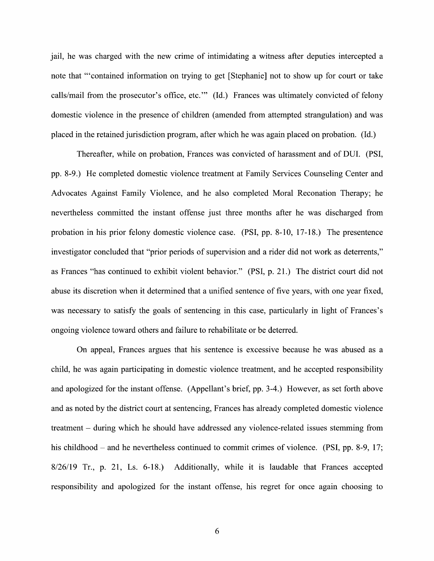jail, he was charged with the new crime of intimidating a witness after deputies intercepted a note that "'contained information on trying to get [Stephanie] not to show up for court or take calls/mail from the prosecutor's office, etc." (Id.) Frances was ultimately convicted of felony domestic Violence in the presence 0f children (amended from attempted strangulation) and was placed in the retained jurisdiction program, after Which he was again placed 0n probation. (Id.)

Thereafter, While 0n probation, Frances was convicted 0f harassment and of DUI. (PSI, pp. 8-9.) He completed domestic Violence treatment at Family Services Counseling Center and Advocates Against Family Violence, and he also completed Moral Reconation Therapy; he nevertheless committed the instant offense just three months after he was discharged from probation in his prior felony domestic Violence case. (PSI, pp. 8-10, 17-18.) The presentence investigator concluded that "prior periods of supervision and a rider did not work as deterrents," as Frances "has continued to exhibit violent behavior." (PSI, p. 21.) The district court did not abuse its discretion when it determined that a unified sentence of five years, with one year fixed, was necessary to satisfy the goals of sentencing in this case, particularly in light of Frances's ongoing violence toward others and failure to rehabilitate or be deterred.

On appeal, Frances argues that his sentence is excessive because he was abused as child, he was again participating in domestic violence treatment, and he accepted responsibility and apologized for the instant offense. (Appellant's brief, pp. 3-4.) However, as set forth above and as noted by the district court at sentencing, Frances has already completed domestic Violence treatment – during which he should have addressed any violence-related issues stemming from his childhood – and he nevertheless continued to commit crimes of violence. (PSI, pp. 8-9, 17; 8/26/19 Tr., p. 21, Ls. 6-18.) Additionally, while it is laudable that Frances accepted responsibility and apologized for the instant offense, his regret for once again choosing to